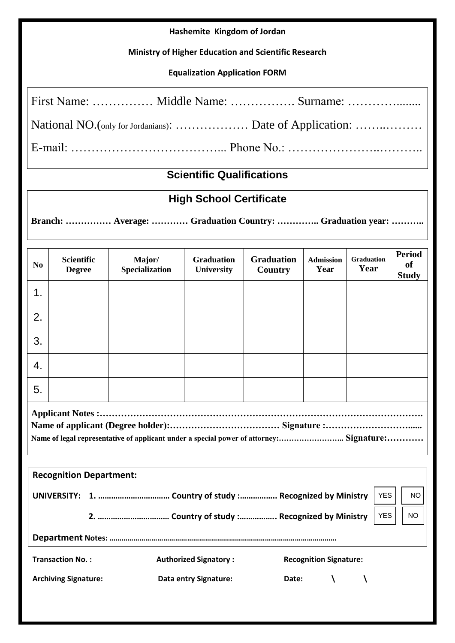## **Hashemite Kingdom of Jordan**

## **Ministry of Higher Education and Scientific Research**

## **Equalization Application FORM**

|  | First Name:  Middle Name:  Surname: |
|--|-------------------------------------|
|  |                                     |
|  |                                     |

# **Scientific Qualifications**

## **High School Certificate**

**Branch: …………… Average: ………… Graduation Country: ………….. Graduation year: ………..**

| N <sub>0</sub>                                                                           | <b>Scientific</b><br><b>Degree</b> | Major/<br>Specialization | <b>Graduation</b><br><b>University</b> | <b>Graduation</b><br>Country | <b>Admission</b><br>Year | <b>Graduation</b><br>Year | <b>Period</b><br><b>of</b><br><b>Study</b> |
|------------------------------------------------------------------------------------------|------------------------------------|--------------------------|----------------------------------------|------------------------------|--------------------------|---------------------------|--------------------------------------------|
| 1.                                                                                       |                                    |                          |                                        |                              |                          |                           |                                            |
| 2.                                                                                       |                                    |                          |                                        |                              |                          |                           |                                            |
| 3.                                                                                       |                                    |                          |                                        |                              |                          |                           |                                            |
| 4.                                                                                       |                                    |                          |                                        |                              |                          |                           |                                            |
| 5.                                                                                       |                                    |                          |                                        |                              |                          |                           |                                            |
| Name of legal representative of applicant under a special power of attorney: Signature:  |                                    |                          |                                        |                              |                          |                           |                                            |
|                                                                                          | <b>Recognition Department:</b>     |                          |                                        |                              |                          |                           |                                            |
| <b>YES</b>                                                                               |                                    |                          |                                        |                              | <b>NO</b>                |                           |                                            |
| <b>YES</b><br><b>NO</b>                                                                  |                                    |                          |                                        |                              |                          |                           |                                            |
|                                                                                          |                                    |                          |                                        |                              |                          |                           |                                            |
| <b>Transaction No.:</b><br><b>Authorized Signatory:</b><br><b>Recognition Signature:</b> |                                    |                          |                                        |                              |                          |                           |                                            |
|                                                                                          | <b>Archiving Signature:</b>        |                          | Data entry Signature:                  |                              | Date: $\setminus$        | A                         |                                            |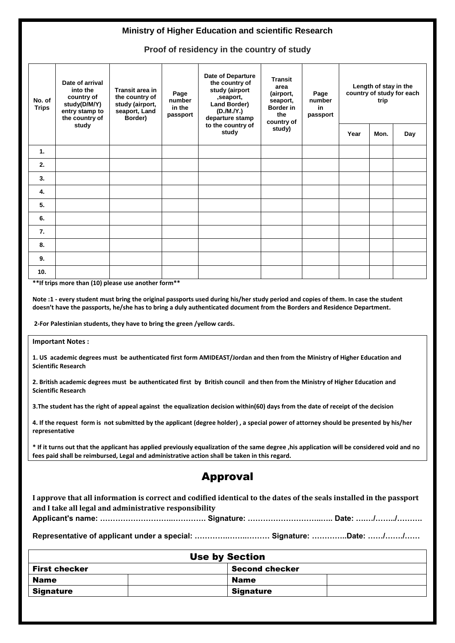#### **Ministry of Higher Education and scientific Research**

**Proof of residency in the country of study**

| No. of<br><b>Trips</b> | Date of arrival<br>into the<br>country of<br>study(D/M/Y)<br>entry stamp to<br>the country of | Transit area in<br>the country of<br>study (airport,<br>seaport, Land<br>Border) | Page<br>number<br>in the<br>passport | Date of Departure<br>the country of<br>study (airport<br>, seaport,<br>Land Border)<br>(D./M./Y.)<br>departure stamp | <b>Transit</b><br>area<br>(airport,<br>seaport,<br><b>Border</b> in<br>the<br>country of | Page<br>number<br>in<br>passport | Length of stay in the<br>country of study for each<br>trip |      |     |
|------------------------|-----------------------------------------------------------------------------------------------|----------------------------------------------------------------------------------|--------------------------------------|----------------------------------------------------------------------------------------------------------------------|------------------------------------------------------------------------------------------|----------------------------------|------------------------------------------------------------|------|-----|
|                        | study                                                                                         |                                                                                  |                                      | to the country of<br>study                                                                                           | study)                                                                                   |                                  | Year                                                       | Mon. | Day |
| $\mathbf{1}$ .         |                                                                                               |                                                                                  |                                      |                                                                                                                      |                                                                                          |                                  |                                                            |      |     |
| 2.                     |                                                                                               |                                                                                  |                                      |                                                                                                                      |                                                                                          |                                  |                                                            |      |     |
| 3.                     |                                                                                               |                                                                                  |                                      |                                                                                                                      |                                                                                          |                                  |                                                            |      |     |
| 4.                     |                                                                                               |                                                                                  |                                      |                                                                                                                      |                                                                                          |                                  |                                                            |      |     |
| 5.                     |                                                                                               |                                                                                  |                                      |                                                                                                                      |                                                                                          |                                  |                                                            |      |     |
| 6.                     |                                                                                               |                                                                                  |                                      |                                                                                                                      |                                                                                          |                                  |                                                            |      |     |
| 7.                     |                                                                                               |                                                                                  |                                      |                                                                                                                      |                                                                                          |                                  |                                                            |      |     |
| 8.                     |                                                                                               |                                                                                  |                                      |                                                                                                                      |                                                                                          |                                  |                                                            |      |     |
| 9.                     |                                                                                               |                                                                                  |                                      |                                                                                                                      |                                                                                          |                                  |                                                            |      |     |
| 10.                    |                                                                                               |                                                                                  |                                      |                                                                                                                      |                                                                                          |                                  |                                                            |      |     |

**\*\*If trips more than (10) please use another form\*\***

**Note :1 - every student must bring the original passports used during his/her study period and copies of them. In case the student doesn't have the passports, he/she has to bring a duly authenticated document from the Borders and Residence Department.**

**2-For Palestinian students, they have to bring the green /yellow cards.**

#### **Important Notes :**

**1. US academic degrees must be authenticated first form AMIDEAST/Jordan and then from the Ministry of Higher Education and Scientific Research**

**2. British academic degrees must be authenticated first by British council and then from the Ministry of Higher Education and Scientific Research**

**3.The student has the right of appeal against the equalization decision within(60) days from the date of receipt of the decision**

**4. If the request form is not submitted by the applicant (degree holder) , a special power of attorney should be presented by his/her representative**

**\* If it turns out that the applicant has applied previously equalization of the same degree ,his application will be considered void and no fees paid shall be reimbursed, Legal and administrative action shall be taken in this regard.** 

## Approval

**I approve that all information is correct and codified identical to the dates of the seals installed in the passport and I take all legal and administrative responsibility Applicant's name: ………………………..…………. Signature: ………………………..….. Date: ….…/……../……….**

**Representative of applicant under a special: ………….……..……… Signature: …………..Date: ……/……./……**

| <b>Use by Section</b>                         |                  |  |  |  |
|-----------------------------------------------|------------------|--|--|--|
| <b>Second checker</b><br><b>First checker</b> |                  |  |  |  |
| <b>Name</b>                                   | <b>Name</b>      |  |  |  |
| <b>Signature</b>                              | <b>Signature</b> |  |  |  |